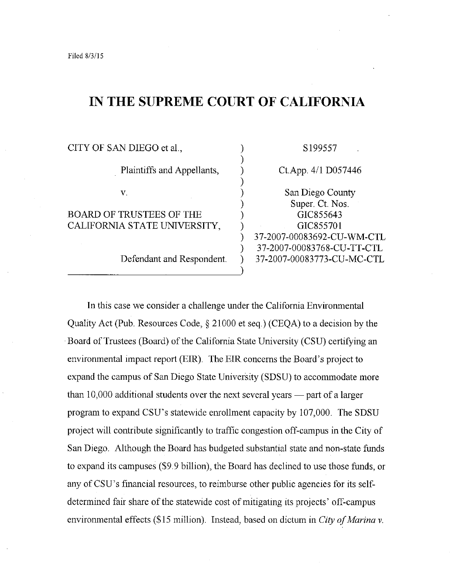## **IN THE SUPREME COURT OF CALIFORNIA**

| CITY OF SAN DIEGO et al.,                                | S199557                                                  |
|----------------------------------------------------------|----------------------------------------------------------|
| Plaintiffs and Appellants,                               | $Ct$ . App. $4/1$ D057446                                |
| V.                                                       | San Diego County                                         |
| BOARD OF TRUSTEES OF THE<br>CALIFORNIA STATE UNIVERSITY, | Super. Ct. Nos.<br>GIC855643<br>GIC855701                |
|                                                          | 37-2007-00083692-CU-WM-CTL<br>37-2007-00083768-CU-TT-CTL |
| Defendant and Respondent.                                | 37-2007-00083773-CU-MC-CTL                               |
|                                                          |                                                          |

In this case we consider a challenge under the California Environmental Quality Act (Pub. Resources Code,§ 21000 et seq.) (CEQA) to a decision by the Board of Trustees (Board) of the California State University (CSU) certifying an environmental impact report (EIR). The EIR concerns the Board's project to expand the campus of San Diego State University (SDSU) to accommodate more than  $10,000$  additional students over the next several years — part of a larger program to expand CSU's statewide enrollment capacity by 107,000. The SDSU project will contribute significantly to traffic congestion off-campus in the City of San Diego. Although the Board has budgeted substantial state and non-state funds to expand its campuses (\$9.9 billion), the Board has declined to use those funds, or any of CSU's financial resources, to reimburse other public agencies for its selfdetermined fair share of the statewide cost of mitigating its projects' off-campus environmental effects (\$15 million). Instead, based on dictum in *City of Marina v.*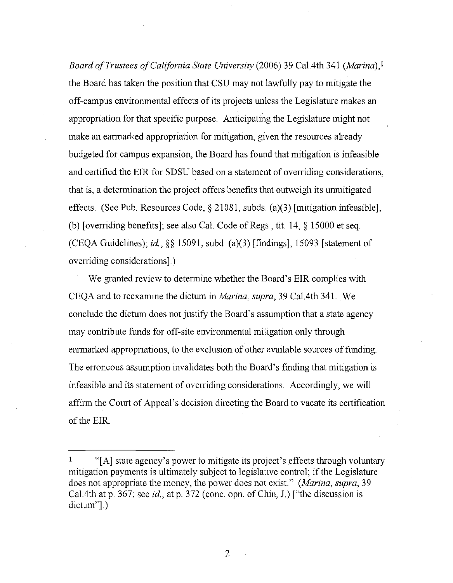*Board of Trustees of California State University* (2006) 39 CaL4th 341 *(Marina),!*  the Board has taken the position that CSU may not lawfully pay to mitigate the off-campus environmental effects of its projects unless the Legislature makes an appropriation for that specific purpose. Anticipating the Legislature might not make an earmarked appropriation for mitigation, given the resources already budgeted for campus expansion, the Board has found that mitigation is infeasible and certified the EIR for SDSU based on a statement of overriding considerations, that is, a determination the project offers benefits that outweigh its unmitigated effects. (See Pub. Resources Code, § 21081, subds. (a)(3) [mitigation infeasible], (b) [overriding benefits]; see also CaL Code of Regs., tit. 14, § 15000 et seq. (CEQA Guidelines); *id.,* §§ 15091, subd. (a)(3) [findings], 15093 [statement of overriding considerations].)

We granted review to determine whether the Board's EIR complies with CEQA and to reexamine the dictum in *Marina, supra,* 39 CaL 4th 341. We conclude the dictum does not justify the Board's assumption that a state agency may contribute funds for off-site environmental mitigation only through earmarked appropriations, to the exclusion of other available sources of funding. The erroneous assumption invalidates both the Board's finding that mitigation is infeasible and its statement of overriding considerations. Accordingly, we will affirm the Court of Appeal's decision directing the Board to vacate its certification of the EIR

<sup>&</sup>lt;sup>1</sup> "[A] state agency's power to mitigate its project's effects through voluntary mitigation payments is ultimately subject to legislative control; if the Legislature does not appropriate the money, the power does not exist." *(Marina, supra,* 39 CaL4th at p. 367; see *id.,* at p. 372 (cone. opn. of Chin, J.) ["the discussion is dictum"].)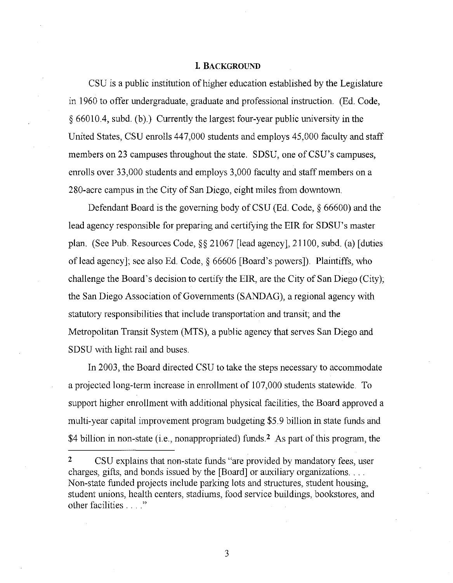#### **1 BACKGROUND**

CSU is a public institution of higher education established by the Legislature in 1960 to offer undergraduate, graduate and professional instruction. (Ed. Code, § 66010.4, subd. (b).) Currently the largest four-year public university in the United States, CSU enrolls 447,000 students and employs 45,000 faculty and staff members on 23 campuses throughout the state. SDSU, one of CSU's campuses, enrolls over 33,000 students and employs 3,000 faculty and staff members on a 280-acre campus in the City of San Diego, eight miles from downtown.

Defendant Board is the governing body of CSU (Ed. Code, § 66600) and the lead agency responsible for preparing and certifying the EIR for SDSU's master plan. (See Pub. Resources Code,§§ 21067 [lead agency], 21100, subd. (a) [duties of lead agency]; see also Ed. Code,§ 66606 [Board's powers]). Plaintiffs, who challenge the Board's decision to certify the EIR, are the City of San Diego (City); the San Diego Association of Governments (SANDAG), a regional agency with statutory responsibilities that include transportation and transit; and the Metropolitan Transit System (MTS), a public agency that serves San Diego and SDSU with light rail and buses.

In 2003, the Board directed CSU to take the steps necessary to accommodate a projected long-term increase in enrollment of 107,000 students statewide. To support higher enrollment with additional physical facilities, the Board approved a multi-year capital improvement program budgeting \$5.9 billion in state funds and \$4 billion in non-state (i.e., nonappropriated) funds.<sup>2</sup> As part of this program, the

**2** CSU explains that non-state funds "are provided by mandatory fees, user charges, gifts, and bonds issued by the [Board] or auxiliary organizations .... Non-state funded projects include parking lots and structures, student housing, student unions, health centers, stadiums, food service buildings, bookstores, and other facilities . . . "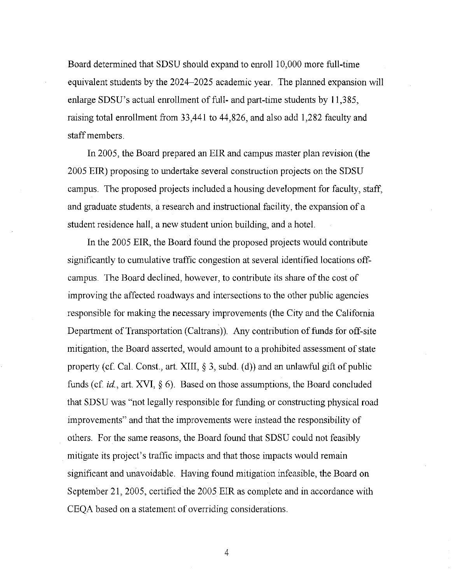Board determined that SDSU should expand to enroll 10,000 more full-time equivalent students by the 2024-2025 academic year. The planned expansion will enlarge  $SDSU$ 's actual enrollment of full- and part-time students by  $11,385$ , raising total enrollment from 33,441 to 44,826, and also add 1,282 faculty and staff members.

In 2005, the Board prepared an EIR and campus master plan revision (the 2005 EIR) proposing to undertake several construction projects on the SDSU campus. The proposed projects included a housing development for faculty, staff, and graduate students, a research and instructional facility, the expansion of a student residence hall, a new student union building, and a hotel.

In the 2005 EIR, the Board found the proposed projects would contribute significantly to cumulative traffic congestion at several identified locations offcampus. The Board declined, however, to contribute its share of the cost of improving the affected roadways and intersections to the other public agencies responsible for making the necessary improvements (the City and the California Department of Transportation (Caltrans)). Any contribution of funds for off-site mitigation, the Board asserted, would amount to a prohibited assessment of state property (cf. Cal. Const., art. XIII,  $\S$  3, subd. (d)) and an unlawful gift of public funds (cf. *id.*, art. XVI, § 6). Based on those assumptions, the Board concluded that SDSU was "not legally responsible for funding or constructing physical road improvements" and that the improvements were instead the responsibility of others. For the same reasons, the Board found that SDSU could not feasibly mitigate its project's traffic impacts and that those impacts would remain significant and unavoidable. Having found mitigation infeasible, the Board on September 21, 2005, certified the 2005 EIR as complete and in accordance with CEQA based on a statement of overriding considerations.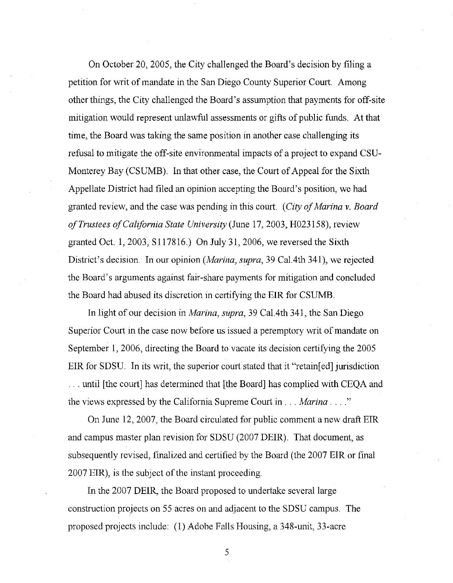On October 20, 2005, the City challenged the Board's decision by filing a petition for writ of mandate in the San Diego County Superior Court. Among other things, the City challenged the Board's assumption that payments for off-site mitigation would represent unlawful assessments or gifts of public funds. At that time, the Board was taking the same position in another case challenging its refusal to mitigate the off-site environmental impacts of a project to expand CSU-Monterey Bay (CSUMB). In that other case, the Court of Appeal for the Sixth Appellate District had filed an opinion accepting the Board's position, we had granted review, and the case was pending in this court. *(City of Marina v. Board of Trustees of California State University* (June 17, 2003, H023158), review granted Oct. 1, 2003, S 117816.) On July 31, 2006, we reversed the Sixth District's decision. In our opinion *(Marina, supra,* 39 Ca1.4th 341), we rejected the Board's arguments against fair-share payments for mitigation and concluded the Board had abused its discretion in certifying the EIR for CSUMB.

In light of our decision in *Marina, supra,* 39 Cal. 4th 341, the San Diego Superior Court in the case now before us issued a peremptory writ of mandate on September 1, 2006, directing the Board to vacate its decision certifying the 2005 EIR for SDSU. In its writ, the superior court stated that it "retained jurisdiction ... until [the court] has determined that [the Board] has complied with CEQA and the views expressed by the California Supreme Court in ... *Marina .* ... "

On June 12, 2007, the Board circulated for public comment a new draft EIR and campus master plan revision for SDSU (2007 DEIR). That document, as subsequently revised, finalized and certified by the Board (the 2007 EIR or final 2007 EIR), is the subject of the instant proceeding.

In the 2007 DEIR, the Board proposed to undertake several large construction projects on 55 acres on and adjacent to the SDSU campus. The proposed projects include: (1) Adobe Falls Housing, a 348-unit, 33-acre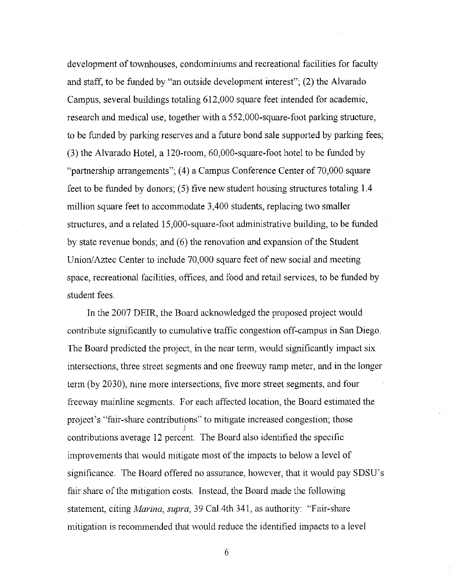development of townhouses, condominiums and recreational facilities for faculty and staff, to be funded by "an outside development interest"; (2) the Alvarado Campus, several buildings totaling 612,000 square feet intended for academic, research and medical use, together with a552,000-square-foot parking structure, to be funded by parking reserves and a future bond sale supported by parking fees; (3) the Alvarado Hotel, a 120-room, 60,000-square-foot hotel to be funded by "partnership arrangements"; (4) a Campus Conference Center of 70,000 square feet to be funded by donors; (5) five new student housing structures totaling 1.4 million square feet to accommodate 3,400 students, replacing two smaller structures, and a related 15,000-square-foot administrative building, to be funded by state revenue bonds; and (6) the renovation and expansion of the Student Union/Aztec Center to include 70,000 square feet of new social and meeting space, recreational facilities, offices, and food and retail services, to be funded by student fees.

In the 2007 DEIR, the Board acknowledged the proposed project would contribute significantly to cumulative traffic congestion off-campus in San Diego. The Board predicted the project, in the near term, would significantly impact six intersections, three street segments and one freeway ramp meter, and in the longer term (by 2030), nine more intersections, five more street segments, and four freeway mainline segments. For each affected location, the Board estimated the project's "fair-share contributions" to mitigate increased congestion; those i contributions average 12 percent. The Board also identified the specific improvements that would mitigate most of the impacts to below a level of significance. The Board offered no assurance, however, that it would pay SDSU's fair share of the mitigation costs. Instead, the Board made the following statement, citing *Marina, supra,* 39 Cal. 4th 341, as authority: "Fair-share mitigation is recommended that would reduce the identified impacts to a level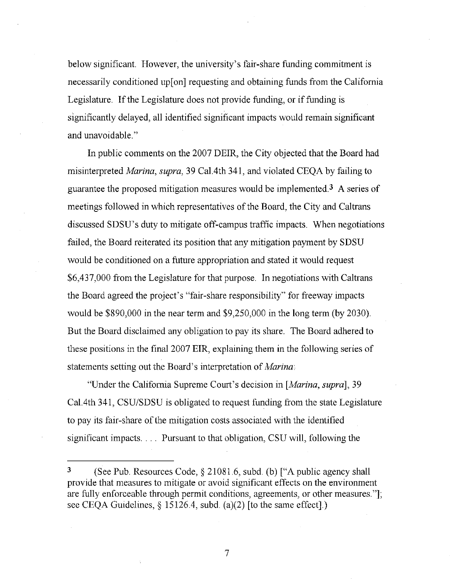below significant. However, the university's fair-share funding commitment is necessarily conditioned up [on] requesting and obtaining funds from the California Legislature. If the Legislature does not provide funding, or if funding is significantly delayed, all identified significant impacts would remain significant and unavoidable."

In public comments on the 2007 DEIR, the City objected that the Board had misinterpreted *Marina, supra,* 39 Cal. 4th 341, and violated CEQA by failing to guarantee the proposed mitigation measures would be implemented3 A series of meetings followed in which representatives of the Board, the City and Caltrans discussed SDSU's duty to mitigate off-campus traffic impacts. When negotiations failed, the Board reiterated its position that any mitigation payment by SDSU would be conditioned on a future appropriation and stated it would request \$6,437,000 from the Legislature for that purpose. In negotiations with Caltrans the Board agreed the project's "fair-share responsibility" for freeway impacts would be \$890,000 in the near term and \$9,250,000 in the long term (by 2030). But the Board disclaimed any obligation to pay its share. The Board adhered to these positions in the final 2007 EIR, explaining them in the following series of statements setting out the Board's interpretation of *Marina:* 

"Under the California Supreme Court's decision in *[Marina, supra],* 39 Ca1.4th 341, CSU/SDSU is obligated to request funding from the state Legislature to pay its fair -share of the mitigation costs associated with the identified significant impacts .... Pursuant to that obligation, CSU will, following the

<sup>3 (</sup>See Pub. Resources Code, § 21081.6, subd. (b) ["A public agency shall provide that measures to mitigate or avoid significant effects on the environment are fully enforceable through permit conditions, agreements, or other measures."]; see CEQA Guidelines, § 15126.4, subd. (a)(2) [to the same effect].)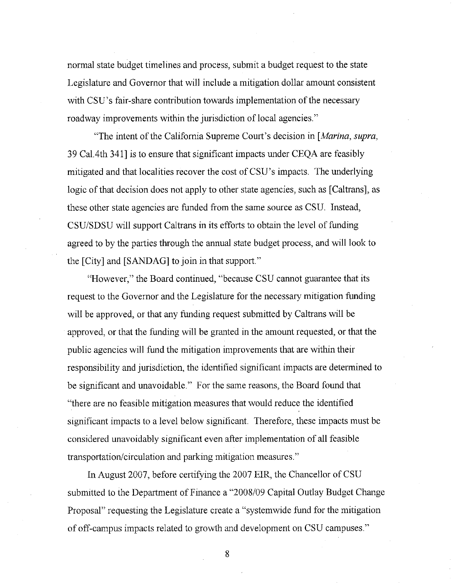normal state budget timelines and process, submit a budget request to the state Legislature and Governor that will include a mitigation dollar amount consistent with CSU's fair-share contribution towards implementation of the necessary roadway improvements within the jurisdiction of local agencies."

"The intent of the California Supreme Court's decision in *[Marina, supra,*  39 Cal.4th 341] is to ensure that significant impacts under CEQA are feasibly mitigated and that localities recover the cost of CSU's impacts. The underlying logic of that decision does not apply to other state agencies, such as [Caltrans], as these other state agencies are funded from the same source as CSU. Instead, CSU/SDSU will support Caltrans in its efforts to obtain the level of funding agreed to by the parties through the annual state budget process, and will look to the [City] and [SANDAG] to join in that support."

"However," the Board continued, "because CSU cannot guarantee that its request to the Governor and the Legislature for the necessary mitigation funding will be approved, or that any funding request submitted by Caltrans will be approved, or that the funding will be granted in the amount requested, or that the public agencies will fund the mitigation improvements that are within their responsibility and jurisdiction, the identified significant impacts are determined to be significant and unavoidable." For the same reasons, the Board found that "there are no feasible mitigation measures that would reduce the identified significant impacts to a level below significant. Therefore, these impacts must be considered unavoidably significant even after implementation of all feasible transportation/circulation and parking mitigation measures."

In August 2007, before certifying the 2007 EIR, the Chancellor of CSU submitted to the Department of Finance a "2008/09 Capital Outlay Budget Change Proposal" requesting the Legislature create a "systemwide fund for the mitigation of off-campus impacts related to growth and development on CSU campuses."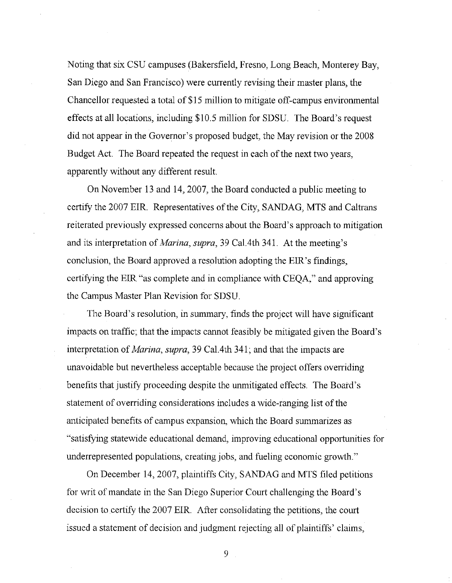Noting that six CSU campuses (Bakersfield, Fresno, Long Beach, Monterey Bay, San Diego and San Francisco) were currently revising their master plans, the Chancellor requested a total of \$15 million to mitigate off-campus environmental effects at all locations, including \$10.5 million for SDSU. The Board's request did not appear in the Governor's proposed budget, the May revision or the 2008 Budget Act. The Board repeated the request in each of the next two years, apparently without any different result.

On November 13 and 14, 2007, the Board conducted a public meeting to certify the 2007 EIR. Representatives of the City, SANDAG, MTS and Caltrans reiterated previously expressed concerns about the Board's approach to mitigation and its interpretation of *Marina, supra,* 39 Cal.4th 341. At the meeting's conclusion, the Board approved a resolution adopting the EIR's findings, certifying the EIR "as complete and in compliance with CEQA," and approving the Campus Master Plan Revision for SDSU.

The Board's resolution, in summary, finds the project will have significant impacts on traffic; that the impacts cannot feasibly be mitigated given the Board's interpretation of *Marina, supra,* 39 Cal.4th 341; and that the impacts are unavoidable but nevertheless acceptable because the project offers overriding benefits that justify proceeding despite the unmitigated effects. The Board's statement of overriding considerations includes a wide-ranging list of the anticipated benefits of campus expansion, which the Board summarizes as "satisfying statewide educational demand, improving educational opportunities for underrepresented populations, creating jobs, and fueling economic growth."

On December 14, 2007, plaintiffs City, SANDAG and MTS filed petitions for writ of mandate in the San Diego Superior Court challenging the Board's decision *to* certify the 2007 EIR. After consolidating the petitions, the court issued a statement of decision and judgment rejecting all of plaintiffs' claims,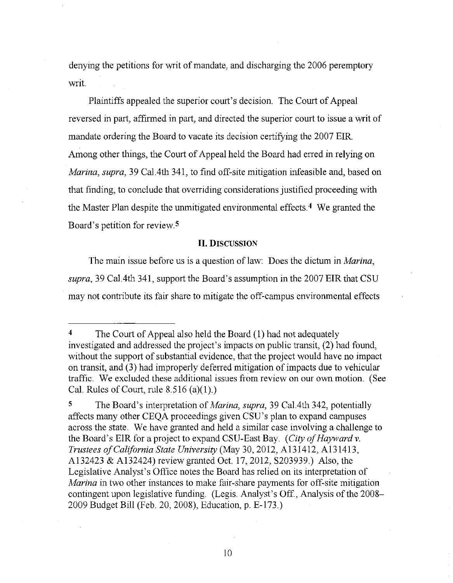denying the petitions for writ of mandate, and discharging the 2006 peremptory writ.

Plaintiffs appealed the superior court's decision. The Court of Appeal reversed in part, affirmed in part, and directed the superior court to issue a writ of mandate ordering the Board to vacate its decision certifying the 2007 EIR. Among other things, the Court of Appeal held the Board had erred in relying on *Marina, supra,* 39 Ca1.4th 341, to find off-site mitigation infeasible and, based on that finding, to conclude that overriding considerations justified proceeding with the Master Plan despite the unmitigated environmental effects.<sup>4</sup> We granted the Board's petition for review  $5$ 

#### II. DISCUSSION

The main issue before us is a question of law: Does the dictum in *Marina, supra,* 39 Cal.4th 341, support the Board's assumption in the 2007 EIR that CSU may not contribute its fair share to mitigate the off-campus environmental effects

<sup>4</sup> The Court of Appeal also held the Board (I) had not adequately investigated and addressed the project's impacts on public transit, (2) had found, without the support of substantial evidence, that the project would have no impact on transit, and (3) had improperly deferred mitigation of impacts due to vehicular traffic. We excluded these additional issues from review on our own motion. (See Cal. Rules of Court, rule  $8.516$  (a)(1).)

<sup>5</sup> The Board's interpretation of *Marina, supra,* 39 Ca1.4th 342, potentially affects many other CEQA proceedings given CSU's plan to expand campuses across the state. We have granted and held a similar case involving a challenge to the Board's EIR for a project to expand CSU-East Bay. *(City of Hayward v. Trustees of California State University* (May 30, 2012, A131412, Al31413, A132423 & Al32424) review granted Oct. 17, 2012, S203939.) Also, the Legislative Analyst's Office notes the Board has relied on its interpretation of *Marina* in two other instances to make fair-share payments for off-site mitigation contingent upon legislative fimding. (Legis. Analyst's Off., Analysis of the 2008- 2009 Budget Bill (Feb. 20, 2008), Education, p. E-173.)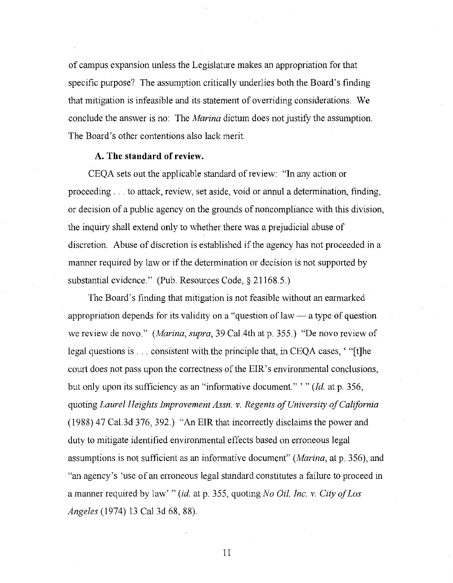of campus expansion unless the Legislature makes an appropriation for that specific purpose? The assumption critically underlies both the Board's finding that mitigation is infeasible and its statement of overriding considerations. We conclude the answer is no: The *Marina* dictum does not justify the assumption. The Board's other contentions also lack merit.

#### **A. The standard of review.**

CEQA sets out the applicable standard of review: "In any action or proceeding ... to attack, review, set aside, void or annul a determination, finding, or decision of a public agency on the grounds of noncompliance with this division, the inquiry shall extend only to whether there was a prejudicial abuse of discretion. Abuse of discretion is established if the agency has not proceeded in a manner required by law or if the determination or decision is not supported by substantial evidence." (Pub. Resources Code,§ 21168.5.)

The Board's finding that mitigation is not feasible without an earmarked appropriation depends for its validity on a "question of law  $-$  a type of question we review de novo." *(Marina, supra,* 39 Cal. 4th at p. 355.) "De novo review of legal questions is ... consistent with the principle that, in CEQA cases, ' "[t]he court does not pass upon the correctness of the EIR's environmental conclusions, but only upon its sufficiency as an "informative document." '" *(Id.* at p. 356, quoting *Laurel Heights Improvement Assn. v. Regents of University of California*  (1988) 47 Cal.3d 376, 392.) "An EIR that incorrectly disclaims the power and duty to mitigate identified environmental effects based on erroneous legal assumptions is not sufficient as an informative document" *(Marina,* at p. 356), and "an agency's 'use of an erroneous legal standard constitutes a failure to proceed in a manner required by law' *"(id.* at p. 355, quoting *No Oil, Inc. v. City of Los Angeles* (1974) 13 Cal.3d 68, 88).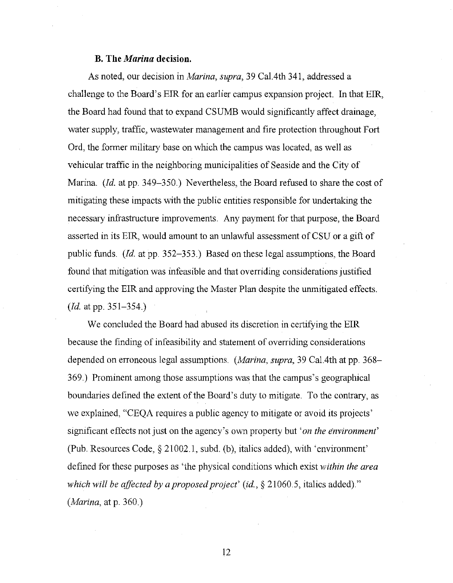#### **B. The** *Marina* **decision.**

As noted, our decision in *Marina, supra,* 39 Cal. 4th 341, addressed a challenge to the Board's EIR for an earlier campus expansion project. In that EIR, the Board had found that to expand CSUMB would significantly affect drainage, water supply, traffic, wastewater management and fire protection throughout Fort Ord, the former military base on which the campus was located, as well as vehicular traffic in the neighboring municipalities of Seaside and the City of Marina. *(Id.* at pp. 349-350.) Nevertheless, the Board refused to share the cost of mitigating these impacts with the public entities responsible for undertaking the necessary infrastructure improvements. Any payment for that purpose, the Board asserted in its EIR, would amount to an unlawful assessment of CSU or a gift of public funds. *(Id.* at pp. 352-353.) Based on these legal assumptions, the Board found that mitigation was infeasible and that overriding considerations justified certifying the EIR and approving the Master Plan despite the unmitigated effects. *(Id.* at pp. 351-354.)

We concluded the Board had abused its discretion in certifying the EIR because the finding of infeasibility and statement of overriding considerations depended on erroneous legal assumptions. *(Marina, supra,* 39 Cal. 4th at pp. 368- 369.) Prominent among those assumptions was that the campus's geographical boundaries defined the extent of the Board's duty to mitigate. To the contrary, as we explained, "CEQA requires a public agency to mitigate or avoid its projects' significant effects not just on the agency's own property but *'on the environment'*  (Pub. Resources Code,§ 21002.1, subd. (b), italics added), with 'environment' defined for these purposes as 'the physical conditions which exist *within the area which will be affected by a proposed project' (id.,* § 21060.5, italics added)." *(Marina,* at p. 360.)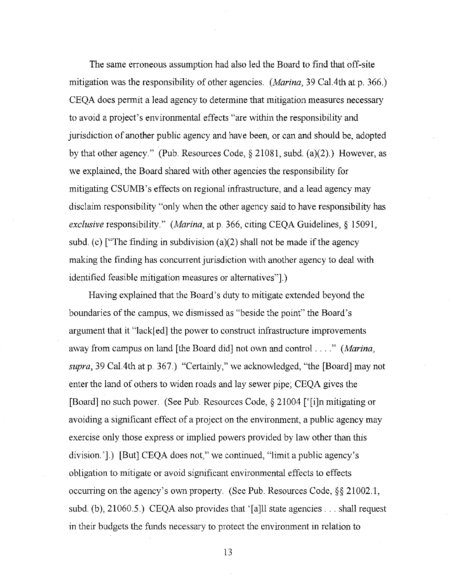The same erroneous assumption had also led the Board to find that off-site mitigation was the responsibility of other agencies. *(Marina,* 39 Cal. 4th at p. 366.) CEQA does permit a lead agency to determine that mitigation measures necessary to avoid a project's environmental effects "are within the responsibility and jurisdiction of another public agency and have been, or can and should be, adopted by that other agency." (Pub. Resources Code,  $\S 21081$ , subd. (a)(2).) However, as we explained, the Board shared with other agencies the responsibility for mitigating CSUMB's effects on regional infrastructure, and a lead agency may disclaim responsibility "only when the other agency said to have responsibility has *exclusive* responsibility." *(Marina,* at p. 366, citing CEQA Guidelines,§ 15091, subd. (c) ["The finding in subdivision (a)(2) shall not be made if the agency making the finding has concurrent jurisdiction with another agency to deal with identified feasible mitigation measures or alternatives"].)

Having explained that the Board's duty to mitigate extended beyond the boundaries of the campus, we dismissed as "beside the point" the Board's argument that it "lack[ ed] the power to construct infrastructure improvements away from campus on land [the Board did] not own and control .... " *(Marina, supra,* 39 Cal. 4th at p. 367.) "Certainly," we acknowledged, "the [Board] may not enter the land of others to widen roads and lay sewer pipe; CEQA gives the [Board] no such power. (See Pub. Resources Code,§ 21004 ['[i]n mitigating or avoiding a significant effect of a project on the environment, a public agency may exercise only those express or implied powers provided by law other than this division.'].) [But] CEQA does not," we continued, "limit a public agency's obligation to mitigate or avoid significant environmental effects to effects occurring on the agency's own property. (See Pub. Resources Code,§§ 21002.1, subd. (b), 21060.5.) CEQA also provides that '[a]ll state agencies ... shall request in their budgets the funds necessary to protect the environment in relation to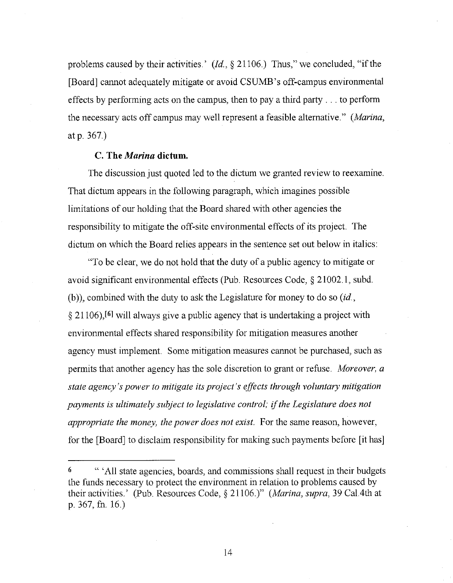problems caused by their activities.' *(Id,* § 21106.) Thus," we concluded, "if the [Board] cannot adequately mitigate or avoid CSUMB's off-campus environmental effects by performing acts on the campus, then to pay a third party ... to perform the necessary acts off campus may well represent a feasible alternative." *(Marina,*  at p. 367.)

#### **C. The** *Marina* **dictum.**

The discussion just quoted led to the dictum we granted review to reexamine. That dictum appears in the following paragraph, which imagines possible limitations of our holding that the Board shared with other agencies the responsibility to mitigate the off-site environmental effects of its project The dictum on which the Board relies appears in the sentence set out below in italics:

"To be clear, we do not hold that the duty of a public agency to mitigate or avoid significant environmental effects (Pub. Resources Code, § 21002.1, subd. (b)), combined with the duty to ask the Legislature for money to do so (id., § 21106),[61 will always give a public agency that is undertaking a project with environmental effects shared responsibility for mitigation measures another agency must implement. Some mitigation measures cannot be purchased, such as permits that another agency has the sole discretion to grant or refuse. *Moreover, a state agency's power to mitigate its project's effects through voluntary mitigation payments* is *ultimately subject to legislative control;* if *the Legislature does not appropriate the money, the power does not exist.* For the same reason, however, for the [Board] to disclaim responsibility for making such payments before [it has]

<sup>6 &</sup>quot; 'All state agencies, boards, and commissions shall request in their budgets the funds necessary to protect the environment in relation to problems caused by their activities.' (Pub Resources Code, § 21106.)" *(Marina, supra,* 39 Cal. 4th at p. 367, fn. 16.)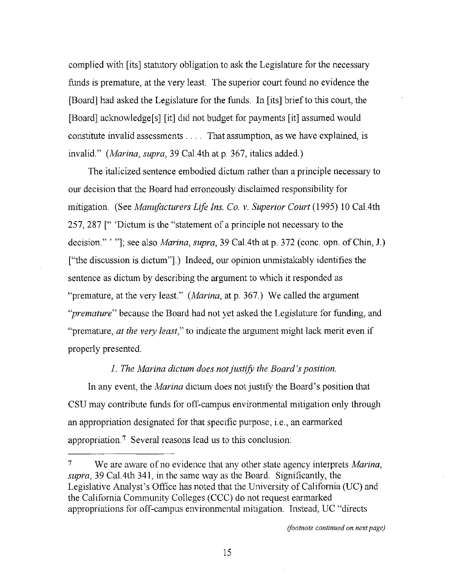complied with [its] statutory obligation to ask the Legislature for the necessary funds is premature, at the very least. The superior court found no evidence the [Board] had asked the Legislature for the funds. In [its] brief to this court, the [Board] acknowledge[s] [it] did not budget for payments [it] assumed would constitute invalid assessments . . . That assumption, as we have explained, is invalid." *(Marina, supra,* 39 Cal. 4th at p. 367, italics added.)

The italicized sentence embodied dictum rather than a principle necessary to our decision that the Board had erroneously disclaimed responsibility for mitigation (See *Mamifacturers Life Ins. Co. v. Superior Court* (1995) 10 Cal.4th 257, 287 [" 'Dictum is the "statement of a principle not necessary to the decision."'"]; see also *Marina, supra,* 39 Cal.4th at p. 372 (cone. opn. of Chin, J.) ["the discussion is dictum"].) Indeed, our opinion unmistakably identifies the sentence as dictum by describing the argument to which it responded as "premature, at the very least." *(Marina,* at p. 367.) We called the argument *"premature"* because the Board had not yet asked the Legislature for funding, and "premature, *at the very least,"* to indicate the argument might lack merit even if properly presented.

### *1. The Marina dictum does not justify the Board's position.*

In any event, the *Marina* dictum does not justify the Board's position that CSU may contribute funds for off-campus environmental mitigation only through an appropriation designated for that specific purpose, i.e., an earmarked appropriation? Several reasons lead us to this conclusion:

7 We are aware of no evidence that any other state agency interprets *Marina, supra,* 39 Cal.4th 341, in the same way as the Board. Significantly, the Legislative Analyst's Office has noted that the University of California (UC) and the California Community Colleges (CCC) do not request earmarked appropriations for off-campus environmental mitigation. Instead, UC "directs

*(footnote continued on next page)*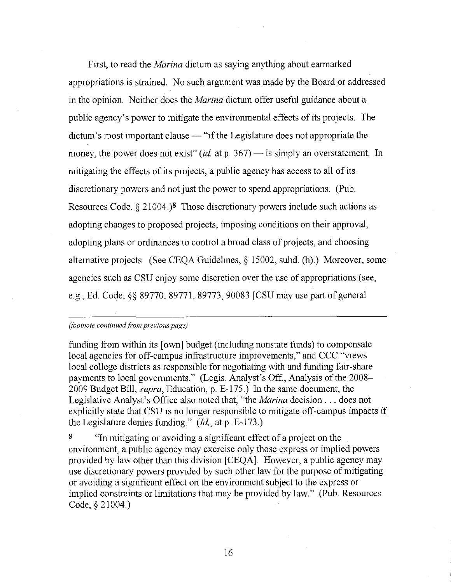First, to read the *Marina* dictum as saying anything about earmarked appropriations is strained. No such argument was made by the Board or addressed in the opinion. Neither does the *Marina* dictum offer useful guidance about a public agency's power to mitigate the environmental effects of its projects. The dictum's most important clause — "if the Legislature does not appropriate the money, the power does not exist"  $(id$  at p. 367) — is simply an overstatement. In mitigating the effects of its projects, a public agency has access to all of its discretionary powers and not just the power to spend appropriations. (Pub. Resources Code,  $\S 21004$ .)<sup>8</sup> Those discretionary powers include such actions as adopting changes to proposed projects, imposing conditions on their approval, adopting plans or ordinances to control a broad class of projects, and choosing alternative projects (See CEQA Guidelines,§ 15002, subd. (h).) Moreover, some agencies such as CSU enjoy some discretion over the use of appropriations (see, e.g, Ed. Code,§§ 89770, 89771, 89773, 90083 [CSU may use part of general

#### *(footnote continued from previous page)*

funding from within its [own] budget (including nonstate funds) to compensate local agencies for off-campus infrastructure improvements," and CCC "views local college districts as responsible for negotiating with and funding fair-share payments to local governments." (Legis. Analyst's Off., Analysis of the 2008- 2009 Budget Bill, *supra,* Education, p. E-175.) In the same document, the Legislative Analyst's Office also noted that, "the *Marina* decision ... does not explicitly state that CSU is no longer responsible to mitigate off-campus impacts if the Legislature denies funding." *(Id.,* at p. E-173.)

8 "In mitigating or avoiding a significant effect of a project on the environment, a public agency may exercise only those express or implied powers provided by law other than this division [CEQA]. However, a public agency may use discretionary powers provided by such other law for the purpose of mitigating or avoiding a significant effect on the environment subject to the express or implied constraints or limitations that may be provided by law." (Pub. Resources Code, § 21004.)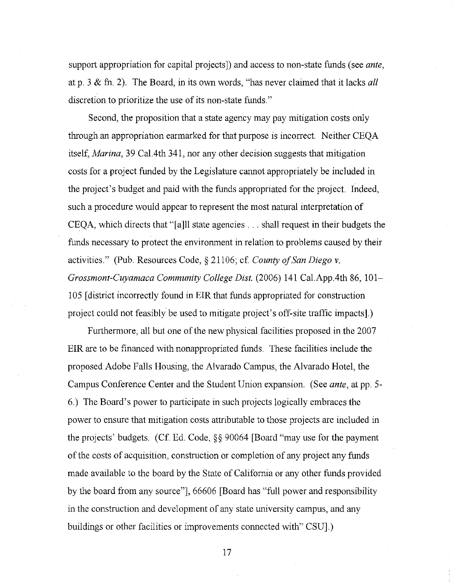support appropriation for capital projects]) and access to non-state funds (see *ante,*  at p. 3 & fn. 2). The Board, in its own words, "has never claimed that it lacks *all*  discretion to prioritize the use of its non-state funds."

Second, the proposition that a state agency may pay mitigation costs only through an appropriation earmarked for that purpose is incorrect. Neither CEQA itself, *Marina,* 39 Cal. 4th 341, nor any other decision suggests that mitigation costs for a project funded by the Legislature cannot appropriately be included in the project's budget and paid with the funds appropriated for the project. Indeed, such a procedure would appear to represent the most natural interpretation of CEQA, which directs that"[ a]ll state agencies ... shall request in their budgets the funds necessary to protect the environment in relation to problems caused by their activities." (Pub. Resources Code, § 211 06; cf. *County of San Diego* v. *Grossmont-Cuyamaca Community College Dist.* (2006) 141 Cal.App.4th 86, 101- 105 [district incorrectly found in EIR that funds appropriated for construction project could not feasibly be used to mitigate project's off-site traffic impacts].)

Furthermore, all but one of the new physical facilities proposed in the 2007 EIR are to be financed with nonappropriated funds. These facilities include the proposed Adobe Falls Housing, the Alvarado Campus, the Alvarado Hotel, the Campus Conference Center and the Student Union expansion. (See *ante,* at pp. 5- 6.) The Board's power to participate in such projects logically embraces the power to ensure that mitigation costs attributable to those projects are included in the projects' budgets. (Cf. Ed. Code, §§ 90064 [Board "may use for the payment of the costs of acquisition, construction or completion of any project any funds made available to the board by the State of California or any other funds provided by the board from any source"], 66606 [Board has "full power and responsibility in the construction and development of any state university campus, and any buildings or other facilities or improvements connected with" CSU].)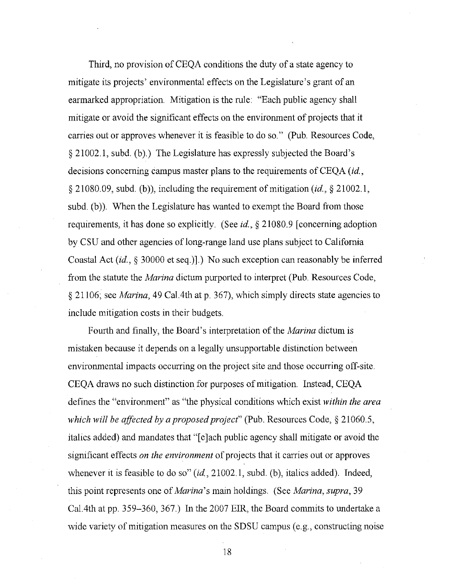Third, no provision of CEQA conditions the duty of a state agency to mitigate its projects' environmental effects on the Legislature's grant of an earmarked appropriation. Mitigation is the rule: "Each public agency shall mitigate or avoid the significant effects on the environment of projects that it carries out or approves whenever it is feasible to do so." (Pub. Resources Code, § 21002.1, subd. (b).) The Legislature has expressly subjected the Board's decisions concerning campus master plans to the requirements of CEQA *(id.,* § 21080.09, subd. (b)), including the requirement of mitigation *(id.,* § 21002.1, subd. (b)). When the Legislature has wanted to exempt the Board from those requirements, it has done so explicitly. (See *id.,* § 21080.9 [concerning adoption by CSU and other agencies of long-range land use plans subject to California Coastal Act *(id.,* § 30000 et seq.)].) No such exception can reasonably be inferred from the statute the *Marina* dictum purported to interpret (Pub. Resources Code, § 21106; see *Marina,* 49 Cal. 4th at p. 367), which simply directs state agencies to include mitigation costs in their budgets.

Fourth and finally, the Board's interpretation of the *Marina* dictum is mistaken because it depends on a legally unsupportable distinction between environmental impacts occurring on the project site and those occurring off-site. CEQA draws no such distinction for purposes of mitigation. Instead, CEQA defines the "environment" as "the physical conditions which exist *within the area which will be affected by a proposed project"* (Pub. Resources Code, § 21060.5, italics added) and mandates that "[e]ach public agency shall mitigate or avoid the significant effects *on the environment* of projects that it carries out or approves whenever it is feasible to do so" (id., 21002.1, subd. (b), italics added). Indeed, this point represents one of *Marina's* mam holdings. (See *Marina, supra,* 39 Cal. 4th at pp. 359-360, 367.) In the 2007 EIR, the Board commits to undertake a wide variety of mitigation measures on the SDSU campus (e.g., constructing noise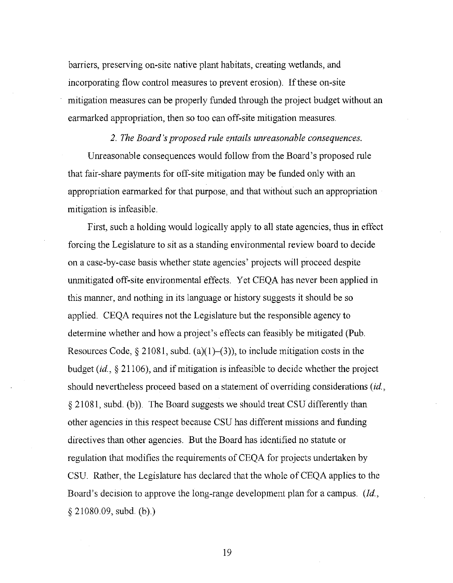barriers, preserving on-site native plant habitats, creating wetlands, and incorporating flow control measures to prevent erosion). If these on-site mitigation measures can be properly funded through the project budget without an earmarked appropriation, then so too can off-site mitigation measures.

# *2. The Board's proposed rule entails unreasonable consequences.*  Unreasonable consequences would follow from the Board's proposed rule that fair-share payments for off-site mitigation may be funded only with an appropriation earmarked for that purpose, and that without such an appropriation mitigation is infeasible.

First, such a holding would logically apply to all state agencies, thus in effect forcing the Legislature to sit as a standing environmental review board to decide on a case-by-case basis whether state agencies' projects will proceed despite unmitigated off-site environmental effects. Yet CEQA has never been applied in this manner, and nothing in its language or history suggests it should be so applied. CEQA requires not the Legislature but the responsible agency to determine whether and how a project's effects can feasibly be mitigated (Pub. Resources Code, § 21081, subd. (a)(1)–(3)), to include mitigation costs in the budget *(id.,* § 21106), and if mitigation is infeasible to decide whether the project should nevertheless proceed based on a statement of overriding considerations *(id.,*  § 21081, subd. (b)). The Board suggests we should treat CSU differently than other agencies in this respect because CSU has different missions and funding directives than other agencies. But the Board has identified no statute or regulation that modifies the requirements of CEQA for projects undertaken by CSU. Rather, the Legislature has declared that the whole of CEQA applies to the Board's decision to approve the long-range development plan for a campus. *(!d.,*  § 21080.09, subd. (b).)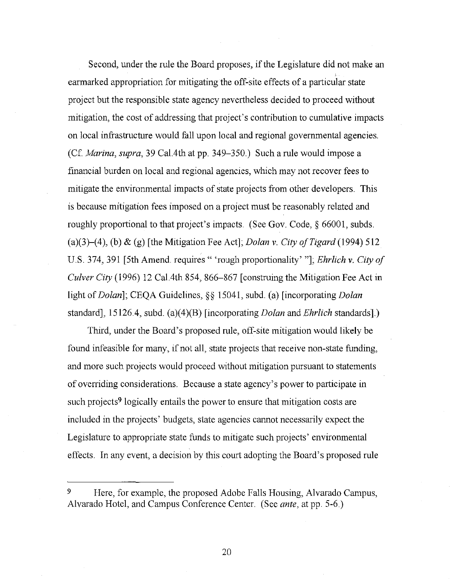Second, under the rule the Board proposes, if the Legislature did not make an ' earmarked appropriation for mitigating the off-site effects of a particular state project but the responsible state agency nevertheless decided to proceed without mitigation, the cost of addressing that project's contribution to cumulative impacts on local infrastructure would fall upon local and regional governmental agencies. (Cf. *Marina, supra,* 39 Cal.4th at pp. 349-350.) Such a rule would impose a financial burden on local and regional agencies, which may not recover fees to mitigate the environmental impacts of state projects from other developers. This is because mitigation fees imposed on a project must be reasonably related and roughly proportional to that project's impacts. (See Gov. Code,§ 66001, subds. (a)(3)-(4), (b) & (g) [the Mitigation Fee Act]; *Dolan* v. *City of Tigard* (1994) 512 U.S. 374, 391 [5th Amend. requires" 'rough proportionality'"]; *Ehrlich* v. *City of Culver City* (1996) 12 Cal. 4th 854, 866-867 [construing the Mitigation Fee Act in light of *Dolan];* CEQA Guidelines,§§ 15041, subd. (a) [incorporating *Dolan*  standard], 151264, subd. (a)(4)(B) [incorporating *Dolan* and *Ehrlich* standards].)

Third, under the Board's proposed rule, off-site mitigation would likely be found infeasible for many, if not all, state projects that receive non-state funding, and more such projects would proceed without mitigation pursuant to statements of overriding considerations. Because a state agency's power to participate in such projects<sup>9</sup> logically entails the power to ensure that mitigation costs are included in the projects' budgets, state agencies cannot necessarily expect the Legislature to appropriate state funds to mitigate such projects' environmental effects. In any event, a decision by this court adopting the Board's proposed rule

<sup>9</sup> Here, for example, the proposed Adobe Falls Housing, Alvarado Campus, Alvarado Hotel, and Campus Conference Center. (See *ante,* at pp. 5-6.)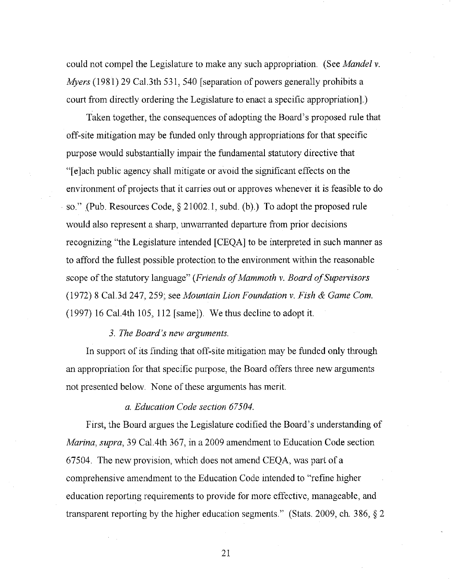could not compel the Legislature to make any such appropriation. (See *Mandel v. Myers* (1981) 29 Cal.3th 531, 540 [separation of powers generally prohibits a court from directly ordering the Legislature to enact a specific appropriation].)

Taken together, the consequences of adopting the Board's proposed rule that off-site mitigation may be funded only through appropriations for that specific purpose would substantially impair the fundamental statutory directive that "[e]ach public agency shall mitigate or avoid the significant effects on the environment of projects that it carries out or approves whenever it is feasible to do · so." (Pub. Resources Code, § 21002.1, subd. (b).) To adopt the proposed rule would also represent a sharp, unwarranted departure from prior decisions recognizing "the Legislature intended [CEQA] to be interpreted in such manner as to afford the fullest possible protection to the environment within the reasonable scope of the statutory language" *(Friends of Mammoth v. Board of Supervisors*  (1972) 8 Cal.3d 247, 259; see *Mountain Lion Foundation v. Fish* & *Game Com.*  (1997) 16 CaL4th 105, 112 [same]). We thus decline to adopt it.

#### *3. The Board's new arguments.*

In support of its finding that off-site mitigation may be funded only through an appropriation for that specific purpose, the Board offers three new arguments not presented below. None of these arguments has merit.

### *a. Education Code section 67504.*

First, the Board argues the Legislature codified the Board's understanding of *Marina, supra,* 39 CaL 4th 367, in a 2009 amendment to Education Code section 67504. The new provision, which does not amend CEQA, was part of a comprehensive amendment to the Education Code intended to "refine higher education reporting requirements to provide for more effective, manageable, and transparent reporting by the higher education segments." (Stats. 2009, ch. 386, § 2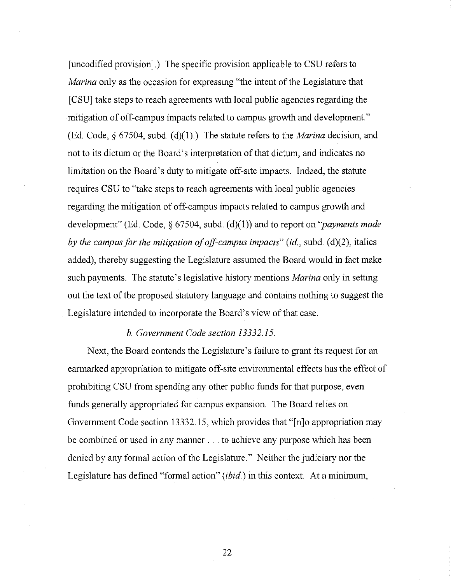[ uncodified provision].) The specific provision applicable to CSU refers to *Marina* only as the occasion for expressing "the intent of the Legislature that [CSU] take steps to reach agreements with local public agencies regarding the mitigation of off-campus impacts related to campus growth and development." (Ed. Code,§ 67504, subd. (d)(l).) The statute refers to the *Marina* decision, and not to its dictum or the Board's interpretation of that dictum, and indicates no limitation on the Board's duty to mitigate off-site impacts. Indeed, the statute requires CSU to "take steps to reach agreements with local public agencies regarding the mitigation of off-campus impacts related to campus growth and development" (Ed. Code,§ 67504, subd. (d)( I)) and to report on *"payments made by the campus for the mitigation of off-campus impacts" (id., subd. (d)(2), italics* added), thereby suggesting the Legislature assumed the Board would in fact make such payments. The statute's legislative history mentions *Marina* only in setting out the text of the proposed statutory language and contains nothing to suggest the Legislature intended to incorporate the Board's view of that case.

#### *b. Government Code section 13332.15.*

Next, the Board contends the Legislature's failure to grant its request for an earmarked appropriation to mitigate off-site environmental effects has the effect of prohibiting CSU from spending any other public funds for that purpose, even funds generally appropriated for campus expansion. The Board relies on Government Code section 13332.15, which provides that "[n]o appropriation may be combined or used in any manner ... to achieve any purpose which has been denied by any formal action of the Legislature." Neither the judiciary nor the Legislature has defined "formal action" *(ibid.)* in this context. At a minimum,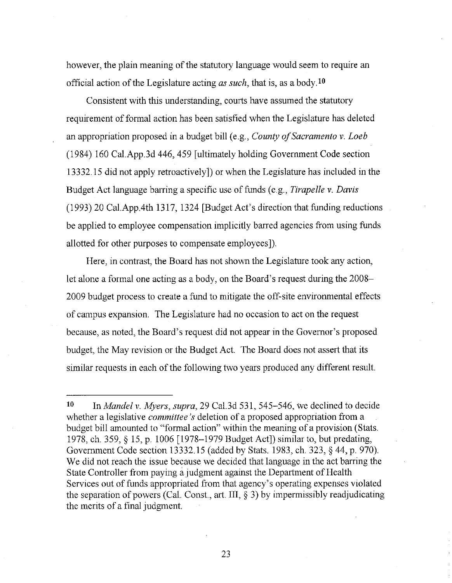however, the plain meaning of the statutory language would seem to require an official action of the Legislature acting *as such*, that is, as a body <sup>10</sup>

Consistent with this understanding, courts have assumed the statutory requirement of formal action has been satisfied when the Legislature has deleted an appropriation proposed in a budget bill (e.g., *County of Sacramento v. Loeb*  (1984) 160 Cal.App.3d 446,459 [ultimately holding Government Code section 13332.15 did not apply retroactively]) or when the Legislature has included in the Budget Act language barring a specific use of funds (e.g., *Tirapelle v. Davis*  (1993) 20 Cal.App.4th 1317, 1324 [Budget Act's direction that funding reductions be applied to employee compensation implicitly barred agencies from using funds allotted for other purposes to compensate employees]).

Here, in contrast, the Board has not shown the Legislature took any action, let alone a formal one acting as a body, on the Board's request during the 2008- 2009 budget process to create a fund to mitigate the off-site environmental effects of campus expansion. The Legislature had no occasion to act on the request because, as noted, the Board's request did not appear in the Governor's proposed budget, the May revision or the Budget Act. The Board does not assert that its similar requests in each of the following two years produced any different result.

<sup>10</sup> In *Mandel v. Myers, supra,* 29 Cal. 3d 531, 545-546, we declined to decide whether a legislative *committee's* deletion of a proposed appropriation from a budget bill amounted to "formal action" within the meaning of a provision (Stats. 1978, ch. 359, § 15, p. 1006 [1978-1979 Budget Act]) similar to, but predating, Government Code section 13332.15 (added by Stats. 1983, ch. 323, § 44, p. 970). We did not reach the issue because we decided that language in the act barring the State Controller from paying a judgment against the Department of Health Services out of funds appropriated from that agency's operating expenses violated the separation of powers (Cal. Const., art. III, § 3) by impermissibly readjudicating the merits of a final judgment.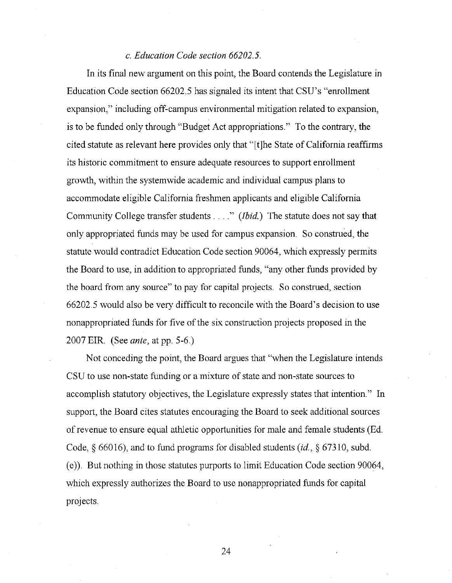#### *c. Education Code section 66202.5.*

In its final new argument on this point, the Board contends the Legislature in Education Code section 66202.5 has signaled its intent that CSU's "enrollment expansion," including off-campus environmental mitigation related to expansion, is to be funded only through "Budget Act appropriations." To the contrary, the cited statute as relevant here provides only that "[t]he State of California reaffirms its historic commitment to ensure adequate resources to support enrollment growth, within the systemwide academic and individual campus plans to accommodate eligible California freshmen applicants and eligible California Community College transfer students .... " *(Ibid.)* The statute does not say that only appropriated funds may be used for campus expansion. So construed, the statute would contradict Education Code section 90064, which expressly permits the Board to use, in addition to appropriated funds, "any other funds provided by the board from any source" to pay for capital projects. So construed, section 66202.5 would also be very difficult to reconcile with the Board's decision to use nonappropriated funds for five of the six construction projects proposed in the 2007 EIR. (See *ante,* at pp. 5-6.)

Not conceding the point, the Board argues that "when the Legislature intends CSU to use non-state funding or a mixture of state and non-state sources to accomplish statutory objectives, the Legislature expressly states that intention." In support, the Board cites statutes encouraging the Board to seek additional sources of revenue to ensure equal athletic opportunities for male and female students (Ed. Code, § 660 16), and to fund programs for disabled students *(id.,* § 67310, subd. (e)). But nothing in those statutes purports to limit Education Code section 90064, which expressly authorizes the Board to use nonappropriated funds for capital projects.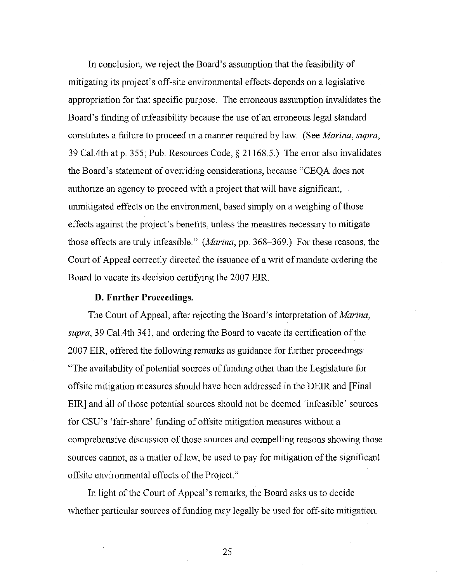In conclusion, we reject the Board's assumption that the feasibility of mitigating its project's off-site environmental effects depends on a legislative appropriation for that specific purpose. The erroneous assumption invalidates the Board's finding of infeasibility because the use of an erroneous legal standard constitutes a failure to proceed in a manner required by law. (See *Marina, supra,*  39 Ca1.4th at p. 355; Pub. Resources Code,§ 21168.5.) The error also invalidates the Board's statement of overriding considerations, because "CEQA does not authorize an agency to proceed with a project that will have significant, unmitigated effects on the environment, based simply on a weighing of those effects against the project's benefits, unless the measures necessary to mitigate those effects are truly infeasible." *(Marina,* pp. 368-369.) For these reasons, the Court of Appeal correctly directed the issuance of a writ of mandate ordering the Board to vacate its decision certifying the 2007 EIR.

#### **D. Further Proceedings.**

The Court of Appeal, after rejecting the Board's interpretation of *Marina, supra,* 39 Cal. 4th 341, and ordering the Board to vacate its certification of the 2007 EIR, offered the following remarks as guidance for further proceedings: "The availability of potential sources of funding other than the Legislature for offsite mitigation measures should have been addressed in the DEIR and [Final EIR] and all of those potential sources should not be deemed 'infeasible' sources for CSU's 'fair-share' funding of offsite mitigation measures without a comprehensive discussion of those sources and compelling reasons showing those sources cannot, as a matter of law, be used to pay for mitigation of the significant offsite environmental effects of the Project."

In light of the Court of Appeal's remarks, the Board asks us to decide whether particular sources of funding may legally be used for off-site mitigation.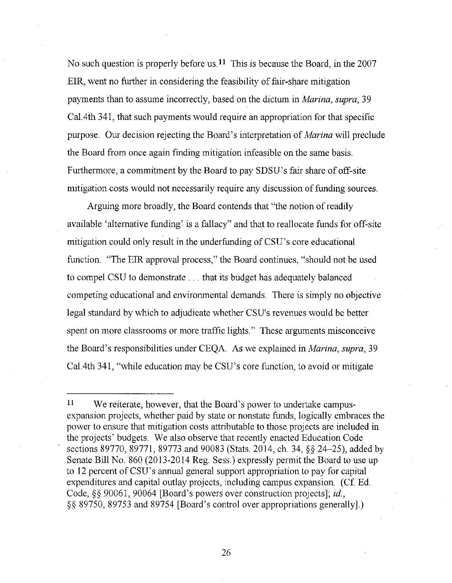No such question is properly before us.<sup>11</sup> This is because the Board, in the 2007 EIR, went no further in considering the feasibility of fair -share mitigation payments than to assume incorrectly, based on the dictum in *Marina, supra,* 39 Ca1.4th 341, that such payments would require an appropriation for that specific purpose. Our decision rejecting the Board's interpretation of *Marina* will preclude the Board from once again finding mitigation infeasible on the same basis. Furthermore, a commitment by the Board to pay SDSU's fair share of off-site mitigation costs would not necessarily require any discussion of funding sources.

Arguing more broadly, the Board contends that "the notion of readily available 'alternative funding' is a fallacy" and that to reallocate funds for off-site mitigation could only result in the underfunding of CSU's core educational function. "The EIR approval process," the Board continues, "should not be used to compel CSU to demonstrate ... that its budget has adequately balanced competing educational and environmental demands. There is simply no objective legal standard by which to adjudicate whether CSU's revenues would be better spent on more classrooms or more traffic lights." These arguments misconceive the Board's responsibilities under CEQA As we explained in *Marina, supra,* 39 Cal. 4th 341, "while education may be CSU's core function, to avoid or mitigate

<sup>&</sup>lt;sup>11</sup> We reiterate, however, that the Board's power to undertake campusexpansion projects, whether paid by state or nonstate funds, logically embraces the power to ensure that mitigation costs attributable to those projects are included in the projects' budgets. We also observe that recently enacted Education Code sections 89770, 89771, 89773 and 90083 (Stats. 2014, ch. 34, §§ 24-25), added by Senate Bill No. 860 (2013-2014 Reg. Sess.) expressly permit the Board to use up to 12 percent of CSU's annual general support appropriation to pay for capital expenditures and capital outlay projects, including campus expansion. (Cf. Ed. Code,§§ 90061, 90064 [Board's powers over construction projects]; *id.,*  §§ 89750, 89753 and 89754 [Board's control over appropriations generally].)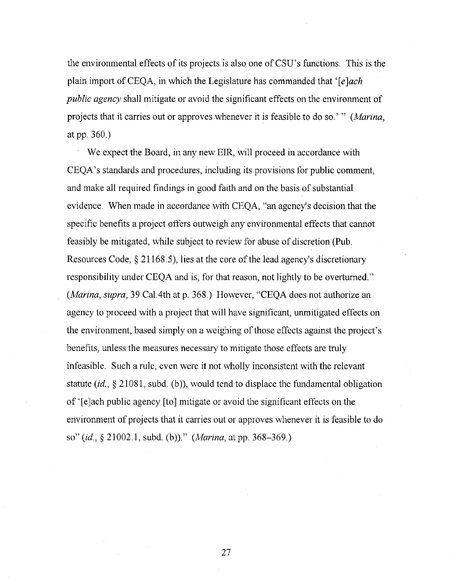the environmental effects of its projects is also one of CSU's functions. This is the plain import ofCEQA, in which the Legislature has commanded that *'[e]ach public agency* shall mitigate or avoid the significant effects on the environment of projects that it carries out or approves whenever it is feasible to do so.' " *(Marina,*  at pp. 360.)

We expect the Board, in any new EIR, will proceed in accordance with CEQA's standards and procedures, including its provisions for public comment, and make all required findings in good faith and on the basis of substantial evidence. When made in accordance with CEQA, "an agency's decision that the specific benefits a project offers outweigh any environmental effects that cannot feasibly be mitigated, while subject to review for abuse of discretion (Pub. Resources Code,§ 21168.5), lies at the core of the lead agency's discretionary responsibility under CEQA and is, for that reason, not lightly to be overturned." *(Marina, supra,* 39 Cal. 4th at p. 368.) However, "CEQA does not authorize an agency to proceed with a project that will have significant, unmitigated effects on the environment, based simply on a weighing of those effects against the project's benefits, unless the measures necessary to mitigate those effects are truly infeasible. Such a rule, even were it not wholly inconsistent with the relevant statute *(id.,* § 21081, subd. (b)), would tend to displace the fundamental obligation of '[e]ach public agency [to] mitigate or avoid the significant effects on the environment of projects that it carries out or approves whenever it is feasible to do so" *(id.,* § 21002.1, subd (b))." *(Marina,* atpp. 368-369.)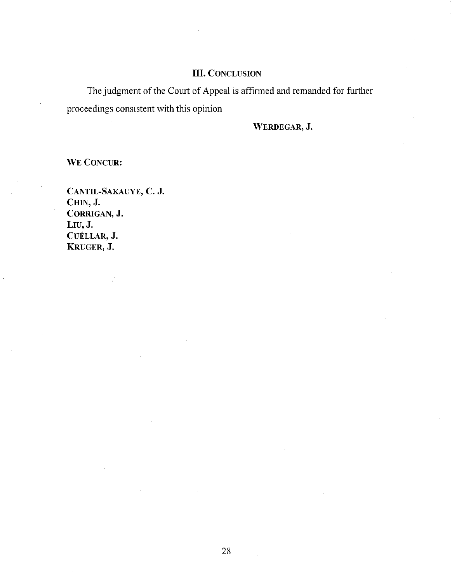## III. CONCLUSION

The judgment of the Court of Appeal is affirmed and remanded for further proceedings consistent with this opinion.

WERDEGAR, J.

WE CONCUR:

CANTIL-SAKAUYE, C. J. CHIN, J. CORRIGAN, J. LIU, J. CUELLAR, J. KRUGER,J.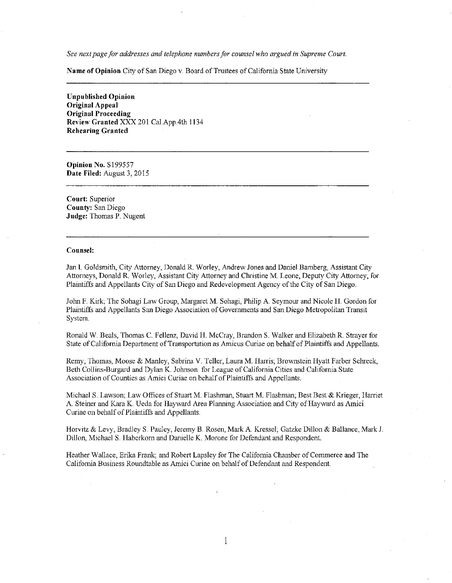*See next page for addresses and telephone numbers for counsel who argued in Supreme Court.* 

**Name of Opinion** City of San Diego v. Board of Trustees of California State University

**Unpublished Opinion Original Appeal Original Proceeding Review Granted** XXX 201 Cal.App.4th 1134 **Rehearing Granted** 

**Opinion No.** Sl99557 **Date Filed:** August 3, 2015

**Court:** Superior **County:** San Diego **Judge:** Thomas P. Nugent

#### **Counsel:**

Jan **L** Goldsmith, City Attorney, Donald R. Worley, Andrew Jones and Daniel Bamberg, Assistant City Attorneys, Donald R. Worley, Assistant City Attorney and Christine M. Leone, Deputy City Attorney, for Plaintiffs and Appellants City of San Diego and Redevelopment Agency of the City of San Diego.

John F. Kirk; The Sohagi Law Group, Margaret M. Sohagi, Philip A Seymour and Nicole **H.** Gordon for Plaintiffs and Appellants San Diego Association of Governments and San Diego Metropolitan Transit System.

Ronald W. Beals, Thomas C. Fellenz, David H. McCray, Brandon S. Walker and Elizabeth R. Strayer for State of California Department of Transportation as Amicus Curiae on behalf of Plaintiffs and Appellants.

Remy, Thomas, Moose & Manley, Sabrina V. Teller, Laura M. Harris; Brownstein Hyatt Farber Schreck, Beth Collins-Burgard and Dylan K Johnson for League of California Cities and California State Association of Counties as Amici Curiae on behalf of Plaintiffs and Appellants.

Michael S. Lawson; Law Offices of Stuart M. Flashman, Stuart M. Flashman; Best Best & Krieger, Harriet A Steiner and Kara K. Ueda for Hayward Area Planning Association and City of Hayward as Amici Curiae on behalf of Plaintiffs and Appellants.

Horvitz & Levy, Bradley S. Pauley, Jeremy B. Rosen, Mark A Kresse!; Gatzke Dillon & Ballance, Mark J. Dillon, Michael S. Haberkorn and Danielle K. Marone for Defendant and Respondent.

Heather Wallace, Erika Frank; and Robert Lapsley for The California Chamber of Commerce and The California Business Roundtable as Amici Curiae on behalf of Defendant and Respondent.